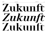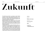# ZUKUNH

**The Zukunft type family is an homage to classic didone typefaces. Though using traditional proportions, the design explores a more futuristic approach; the letters overall seem more digitally created, featuring triangular serifs, right angles and strict horizontal lines.**

**Besides the Regular style, suitable for body copy, the Italic brings back some flow and warmth, making it a good decorative companion. And then there's the display cut; with a high contrast and sharp serifs this is the perfect choice for headlines and posters.**

**Compared to the rest of our designs, Zukunft is a rather conventional but versatile typeface you can probably use for a wider range of projects. Wether short paragraphs, big titles or branding work, the diverse styles will fit and ensure a unique look. Don't forget to use the numerous alternates for letters and figures, as well as special symbols and italic capital swashes to make use of the full potential of Zukunft!**

#### TYPEFACE

**Zukunft**

#### WEIGHTS

**Regular, Italic, Display**

#### DESIGNED BY

**Fabian Dornhecker**

YEAR OF RELEASE

**2020**

#### AVAILABLE ON

**La Bolde Vita → www.laboldevita.com**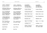CASE-SENSITIVE PUNCTUATION **▶** CASE

hi@a(b)-soul:web **<sup>→</sup>** HI@A(B)-SOUL:WEB

STANDARD LIGATURES **▶** LIGA

| Hoffnung Affliction $\rightarrow$ |  |
|-----------------------------------|--|
| Ausfluß Rotfichte                 |  |

#### DISCRETIONARY LIGATURES **▶** DLIG

| <b>Fetter ZITTERAAL</b> |  |
|-------------------------|--|
| Church outvalue         |  |
| The LIZZARD Bark        |  |
| <b>Husky selfhoods</b>  |  |

#### CONTEXTUAL ALTERNATES **▶** CALT

| ¿¡Jamón Ibérico!? |
|-------------------|
| www.WEIßRAUM.de   |
| You serious???    |

#### OLDSTYLE FIGURES **▶** ONUM

| The 4 musketeers<br>$(27 \text{ of Nov. } 2016)$       | $\rightarrow$<br>$\rightarrow$ |
|--------------------------------------------------------|--------------------------------|
| <b>TABULAR LINING FIGURES ▶ TNUM</b><br>25\$+81\\\$24% | $\rightarrow$                  |
| SUPERSCRIPT ▶ SUPS<br>64 m2 floor                      |                                |
| SUBSCRIPT ▶ SUBS                                       |                                |

### ›FACT‹ • ¡CHECK!℗ **<sup>→</sup>** ›FACT‹ • ¡CHECK!℗

**Hoffnung Affliction** Ausfluß Rotfichte **<sup>→</sup>** Ausfluß Rotfichte

Fetter ZITTERAAL **<sup>→</sup>** Fetter ZITTERAAL Church outvalue **<sup>→</sup>** Church outvalue The LIZZARD Bark **<sup>→</sup>** The LIZZARD Bark Husky selfhoods **<sup>→</sup>** Husky selfhoods

¿¡Jamón Ibérico!? **<sup>→</sup>** ¿¡Jamón Ibérico!? www.WEIßRAUM.de **<sup>→</sup>** www.WEIßRAUM.de → **You serios???** 

- The 4 musketeers (27 of Nov. 2016) **<sup>→</sup>** (27 of Nov. 2016)
- 25\$+81¥≠34% **<sup>→</sup>** 25\$+81¥≠34%
- 64 m2 floor **<sup>→</sup>** 64 m2 floor
- H<sub>2</sub>0 N<sub>03</sub> → H<sub>2</sub>0 N<sub>0</sub><sub>3</sub>

#### LOCALIZED FORMS **▶** LOCL

| și paral·lel<br><b>DIYARBAKIR</b><br>декември файл                                       | $\rightarrow$<br>$\rightarrow$<br>$\rightarrow$ | și parallel<br><b>DİYARBAKIR</b><br>декември файл |
|------------------------------------------------------------------------------------------|-------------------------------------------------|---------------------------------------------------|
| STYLISTIC SET 01 (Alternative a) ▶ SS01<br>L'unità d'Italia                              | $\rightarrow$                                   | L'unità d'Italia                                  |
| STYLISTIC SET 02 (Alternative g) ▶ SS02<br>Underground gate                              | $\rightarrow$                                   | Underground gate                                  |
| STYLISTIC SET 03 (Alternative K/k) ▶ SS03<br>Kinky Skirt cerka                           | $\rightarrow$                                   | Kinky Skirt cerka                                 |
| STYLISTIC SET 04 (Alternative G) > SS04<br>Gino Giambattista                             | $\rightarrow$                                   | Gino Giambattista                                 |
| STYLISTIC SET 05 (Alternative Circles) > SS05<br>hi@nike.com <sup>®</sup>                | $\rightarrow$                                   | hi@nike.com®                                      |
| STYLISTIC SET 06 (Circle Numbers) > SS06<br>Appx. 6 to 8 dogs                            | $\rightarrow$                                   | Appx. $\circledcirc$ to $\circledcirc$ dogs       |
| STYLISTIC SET 07 (Triangle Numbers) > SS07<br>working 9 to 5                             | $\rightarrow$                                   | working $\circledast$ to $\circledast$            |
| CONTEXTUAL SWASHES > CSWH (Only for Italic)<br><b>Kultur No Query</b><br>Eye Xanax Libre | $\rightarrow$<br>$\rightarrow$                  | <b>Kultur No Query</b><br>Eye Xanax Libre         |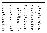#### SUPPORTED LANGUAGES / GLYPH COVERAGE

**Abaza Abenaki Adyghe Afaan Oromo Afar Afrikaans Agul Albanian Alsatian Amis Anuta Aragonese Aranese Aromanian Arrernte Arvanitic (Latin) Asturian Atayal Avar Aymara Balkar Bashkir (Latin) Basque Belarusian Bemba Bikol Bislama Bosnian Breton Bulgarian Buryat Cape Verdean Creole Catalan Cebuano Chamorro Chavacano Chechen Chichewa Chickasaw Cimbrian Cofán Cornish**

**Corsican Creek Crimean Tatar Croatian Czech Danish Dargin Dawan Delaware Dholuo Drehu Dungan Dutch English Erzya Esperanto Estonian Faroese Fijian Filipino Finnish Folkspraak French Frisian Friulian Gagauz (Latin) Galician Ganda Genoese German Gikuyu Gooniyandi Greenlandic (Kalaallisut) Guadeloupean Creole Gwich'in Haitian Creole Hän Hawaiian Hiligaynon Hopi Hotcąk (Latin) Hungarian**

**Icelandic Ido Igbo Ilocano Indonesian Ingush Interglossa Interlingua Irish Istro-Romanian Italian Jamaican Javanese (Latin) Jèrriais Kabardian Kaingang Kala Lagaw Ya Kalmyk Kapampangan (Latin) Kaqchikel Karachay-Balkar Karakalpak Karelian (Latin) Kashubian Kazakh Khalkha Kikongo Kinyarwanda Kiribati Kirundi Klingon Kumyk Kurdish (Latin) Kyrgyz (Cyrillic) Ladin Lak Latin Latino sine Flexione Latvian Lezgian Lithuanian Lojban**

**Lombard Low Saxon Luxembourgish Maasai Macedonian Makhuwa Malay Maltese Manx Māori Marquesan Megleno-Romanian Meriam Mir Mirandese Mohawk Moldovan Mongolian (Cyrillic) Montagnais Montenegrin Moksha Murrinh-Patha Nagamese Creole Nahuatl Nanai Ndebele Neapolitan Ngiyambaa Niuean Nogai Noongar Norwegian Novial Occidental Occitan Onĕipŏt Oshiwambo Ossetian (Latin) Palauan Papiamento Piedmontese Polish Portuguese**

**Potawatomi Q'eqchi' Quechua Rarotongan Romanian Romansh Rotokas Russian Rusyn Rutul Sami (Inari Sami) Sami (Lule Sami) Sami (Northern Sami) Sami (Southern Sami) Samoan Sango Saramaccan Sardinian Scottish Gaelic Serbian Seri Seychellois Creole Shawnee Shona Sicilian Silesian Slovak Slovenian Slovio (Latin) Somali Sorbian (Lower Sorbian) Sorbian (Upper Sorbian) Sotho (Northern) Sotho (Southern) Spanish Sranan Sundanese (Latin) Swahili Swazi Swedish Tabasaran Tagalog**

**Tahitian Tajik Tat Tatar Tetum Tok Pisin Tokelauan Tongan Tshiluba Tsonga Tswana Tumbuka Turkish Turkmen Tuvaluan Tuvan Tzotzil Ukrainian Uzbek Venetian Vepsian Volapük Võro Wallisian Walloon Waray-Waray Warlpiri Wayuu Welsh Wik-Mungkan Wiradjuri Wolof Xavante Xhosa Yapese Yindjibarndi Zapotec Zazaki Zulu Zuni**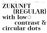# ZUKUNFT {REGULAR} with lowO contrast & circular dots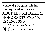## aabcdefgghijkklm nopqrsßtuvwxyz ABCDEFGGHIJKKLM NOPORSISTUVWXYZ 1234567890 .., ...  $77 @ # @ # Y0'^*$  $\left(\prod\right)\left[\left|\left\{\right\}\right.\right]_{-}=-+<>\left|\left.\right|_{2}^{6}\right\rangle\left\langle\left\langle\right|\right\rangle$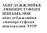## **АБВГДЕЖЖЗИЙКК** ЛМНОПРСТУФХЦЧ ШШЪЫЬЭЮЯ абвгдеёжжзийкк лмнопрстуфхцч ЧЕЕ ВОГОЛОДИЩ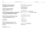**LATIN LOWERCASE** 

CYRILLIC UPPERCASE

**CYRILLIC LOWERCASE** 

STANDARD LIGATURES ff fi fi ffi ffi

#### **LATIN UPPERCASE** NOPORSBTUVWXYZ

aabcdefgghijkklm

nopqrsßtuvwxyz

### ABCDEFGGHIJKKLM

**АБВГДЕЖЖЗИЙККЛМНОПР** 

СТУФХЦЧШЩЪЫЬЭЮЯ

абвгдеёжжзийкклмнопр

стуфхцчшщъыьэюя

cb ch ck ck cl fb fh fk fk ft fv fw fy

#### 0123456789 0123456789 01234567890 01234567890 **TABULAR FIGURES**

0123456789 0123456789

# 0123456789 0123456789

# **FIGURES**

#%<><>+-± x:== ¢£F£€\$\\?TPBf ¤

### rb rh rk rk rl sb sh sk sk sl tt tv tw ty

CONTEXTUAL ALTERNATES

Th  $\Pi Z$ 

**DISCRETIONARY LIGATURES** 

 $\overline{B}$  WWW www ?  $\overline{A}$   $\overline{A}$  ???

+−±×÷=≠≈<>≤≥∾¬∕∕│¦  $\Delta$ Qu $\pi$  $\Delta$ HEd $\sqrt{\cdot} \approx$ %%

PUNCTUATION

...
$$
!\cdots
$$
  $!\cdots$   $!\cdots$   $!\cdots$   $...$   $...$   $...$   $...$   $...$   $...$   $...$   $...$   $...$   $0$   $0$   $0$   $0$   $0$   $0$   $0$   $0$   $0$   $0$   $0$   $0$   $0$   $0$   $0$   $0$   $0$   $0$   $0$   $0$   $0$   $0$   $0$   $0$   $0$   $0$   $0$   $0$   $0$   $0$   $0$   $0$   $0$   $0$   $0$   $0$   $0$   $0$   $0$   $0$   $0$   $0$   $0$   $0$   $0$   $0$   $0$   $0$   $0$   $0$   $0$   $0$   $0$   $0$   $0$   $0$   $0$   $0$   $0$   $0$   $0$   $0$   $0$   $0$   $0$   $0$   $0$   $0$   $0$   $0$   $0$   $0$   $0$   $0$   $0$   $0$   $0$   $0$   $0$   $0$   $0$   $0$   $0$   $0$   $0$   $0$   $0$   $0$   $0$   $0$   $0$   $0$   $0$   $0$   $0$   $0$  

**MATHEMATICAL SYMBOLS** 

**CASE-SENSITIVE FORMS** 

::..\*\*\*\*\*---i¿à()[]{}@@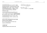#### **LATIN ACCENTED CHARACTERS**

AÁÂÃÄÅÅÅÅÅÅÆÆ ÇĆĈĊČ ĐĎĐ ÈÉÊËËËËEĚĔĘ ĜĜĞĞĠĠĢĢĞĞ ĤĦ IIIIIIIIIII UÜ J KK LLLLE NNNNN ÒÓÔÕÖØØŌŎŐQŒ ÞŔŖŘ ŚŜŞŞŠ TTŤŦ ÙÚÛÜŨŨŨŮŰŲŲ ŴŴŴŴ ÝŶŸŸŶŸ ŹŻŽ

OTHER SYMBOLS

```
¢£F€€$¥₹₴T₽₿f¤Pts
```
←↑↓→↔⇕<sup>⋉↗</sup>₩∠▲▼▶◀⊿⊾<sup>◤◥</sup>

■□◆◇●○◆◇●○米

**BBPDCCMNQQdooooooooooooo** 

à à á á â â ã ã ã ä å å å ā ā ā ă ă a a a å å a a æ æ ccccc dd'd eeeeeeeeee gggggggggg hh ifiiiiiiii ijfj j kkkk llllet nnun'ny dódööøøöööoœ p rri sssss tttt uuūüūūŭuuu wwww yyyyy zii

CYRILLIC EXTENDED CHARACTERS

**ЂЃЀЄЅӀЇЇЈЉЊЋЌЌЎЏҐѢѲѴҖҖ** ККНҮҰХЧЫӘЙЙӨЎ **Птеезнії і выпкку и терочжж ккнуухчhl**эййөў

**BULGARIAN CHARACTERS** 

АИЙЙЛФ **a**8qxx3uŭkk^nmuyuuubblo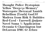### Thought Police Dystopian Yellow "Deep-51-Memory" Watergate¦Betrayal Xanith Rebellion {Truth} God.97 Modern from Risk & Bubbles Red-Eyed ∙ Farewell\_Quijote Novel Soma ½ Application Oceania 6 Charrington but DeLorean DMC-12 Zebra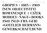## GROPIUS • 1883—1969 {NEW OBJECTIVITY} ROMANESQUE ‡ CIŽEK MOHOLY×NAGY~BOOKS 1920 (NLD+FRA+GER) »GOTTLIEB HERMANN« GEWERKSCHAFT.BUND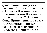**GUILAOMAUUA YOTEPICЙТ** Желтая 51 Память Океания •Полиция Дистопиана Предательство Восстание  $\mathbf{Dor}@M$ стины.97 (Роман) Сома Применение но глаза «двухместная карета» разположен ≈ 10 заповедей  $\frac{3}{4}$  часть \* Прощай Зебра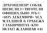## ДРАГОЦЕНЕН? СОБАК ШЕВЕЛИЛ † ТЯГОТЕЛИ ОФИЦИАЛЬНО ЗУБС »1875 AEKEMBPII« AEA МЛАДШЕЙ Е ГРАБЕЖА **7 ЛАБИРИНТАХ • КТО**  $\{ \Phi$ ЛАГ} ЖДАВШАЯ 241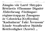### Zângão vår Lartë Shtypjes Réttlætis #l'homme Dignité Ældrebesøg »Virðingar« régime@app.nz Žmogaus że Człowieka [Gyffredin] "Kadınların " Fakt Ävensom\* Içinde Straßenfest Þjóðdir Rettferdighet (Arrêté) … 50/62 pt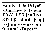## Sanity  $\neq 69\%$  Orly?? »Diarrhée Nº1« æla DAZZLE? 7 {Suffix}  $835,1 \,\mathbb{B} \diamond$  single [sml] ∞ Quintessenz.com  $910 \,\mathrm{µm}^2 \leftrightarrow \mathrm{Tapes}^{\mathrm{TM}}$

 $15/47$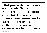### •Dal punto di vista storico e culturale, Saluzzo rappresenta un esempio di architettura medievale piemontese conservando, stretta nel circuito delle antiche mura, le caratteristiche di diverse 50/60 pt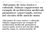•Dal punto di vista storico e culturale, Saluzzo rappresenta un esempio di architettura medievale piemontese conservando, stretta nel circuito delle antiche mura

•Dal punto di vista storico e culturale, Saluzzo rappresenta un esempio di architettura medievale piemontese conservando, stretta nel circuito delle antiche mura, le caratteristiche di 32/38 pt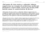#### •Dal punto di vista storico e culturale, Saluzzo rappresenta un esempio di architettura medievale piemontese conservando, stretta nel circuito delle antiche mura, le caratteristiche di diverse 24/28 pt

•Dal punto di vista storico e culturale, Saluzzo rappresenta un esempio di architettura medievale piemontese conservando, stretta nel circuito delle antiche mura, le caratteristiche di diverse epoche. Capitale per ben quattro secoli di un marchesato indipendente 18/21 pt

•Dal punto di vista storico e culturale, Saluzzo rappresenta un esempio di architettura medievale piemontese conservando, stretta nel circuito delle antiche mura, le caratteristiche di diverse epoche. Capitale per ben quattro secoli di un marchesato indipendente, le numerose testimonianze del suo nobile e ricco passato ne <sup>14/17 pt</sup>

•Dal punto di vista storico e culturale, Saluzzo rappresenta un esempio di architettura medievale piemontese conservando, stretta nel circuito delle antiche mura, le caratteristiche di diverse epoche. Capitale per ben quattro secoli di un marchesato indipendente, le numerose testimonianze del suo nobile e ricco passato ne confermano il ruolo di città d'arte. Tutt'oggi la cittadina svolge una funzione di riferimento di servizi ai 11/14 pt

•Dal punto di vista storico e culturale, Saluzzo rappresenta un esempio di architettura medievale piemontese conservando, stretta nel circuito delle antiche mura, le caratteristiche di diverse epoche. Capitale per ben quattro secoli di un marchesato indipendente, le numerose testimonianze del suo nobile e ricco passato ne confermano il ruolo di città d'arte. Tutt'oggi la cittadina svolge una funzione di riferimento di servizi ai comuni circostanti, fiere e manifestazioni a carattere artistico, culturale, ortofrutticolo ed enogastromico. 9/12 pt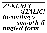# *ZUKUNFT {ITALIC} including✧ smooth &* angled form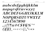## aabcdefgqhijkklm nopqrsßtuvwxyz ABCDEFGGHIJKKLM NOPORSBTUVWXYZ 1234567890  $\cdot$ ,  $\cdot$ ,  $77\omega$ # $\epsilon$ \$¥&%^\*  $\left(\frac{1}{2}\right)^{1/2}$  = - + < >  $\left(\frac{1}{2}\right)^{6/2}$  ( ) (( ))

**LA BOLDE VITA**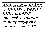## АБВГДЕЖЖЗИЙКК ЛМНОПРСТУФХЦЧ ШШЪЫЬЭЮЯ абвгдеёжжэнйкк лмнопрстуфхцч шщьыьэюя НЕТР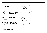**LATIN UPPERCASE** 

#### ABCDEFGGHIJKKLM **NOPORSBTUVWXYZ**

#### **LATIN LOWERCASE**

#### aabcdefgghijkklm  $\boldsymbol{n}$ opqrsßtuvwxyz

CYRILLIC UPPERCASE

#### **АБВГДЕЖЖЗИЙККЛМНОПР** СТҮФХЦЧШШЪЫЬЭЮЯ

**CYRILLIC LOWERCASE** 

#### абвгдеёжжзийкклмнопр  $\epsilon$ туфхичшиць ы ь эюя

STANDARD LIGATURES

#### ff fi fi ffi ffl

**DISCRETIONARY LIGATURES** 

 $\partial$   $\partial$ b  $\partial$ h  $\partial$ k  $\partial$ k  $\partial$ h  $\partial$ h  $\partial$ k  $\partial$ k  $\partial$ h  $\partial$ k  $\partial$ y rb rh rk rk rl sb sh sk sk sl tt tv tw ty  $ThTTZ$ 

CONTEXTUAL ALTERNATES

 $\overline{B}$  WWW www  $\overline{P}$   $\overline{d}$   $\overline{R}$ 

**CONTEXTUAL SWASHES** 

 $A B D E F H K L M N P Q R S X Z$ 

**FIGURES** 

0123456789 0123456789  $\,0\,123456789\,$ 0123456789 01234567890 01234567890

**TABULAR FIGURES** 

#### 0123456789 0123456789 #%<>≤≥+-±×÷=≠ ¢£F£€\$¥I₴TPBf ¤

**MATHEMATICAL SYMBOLS** 

$$
+-\pm \times \div = \neq \infty \iff \leq \geq \sim \frac{1}{\sqrt{2}}
$$

$$
\Delta \Omega \mu \pi \int \Delta \Pi \Sigma \partial \sqrt{\cdot} \approx \frac{\%}{\%}
$$

PUNCTUATION

$$
...::...::?2...**
$$
  
...  
...  
...  
00000\*

**CASE-SENSITIVE FORMS** 

 $\cdots$ \*«» $\cdots$ ——iża()[]{}@@  $\mathbb{R} \mathbb{R} \mathbb{P} \mathbb{P} \mathbb{C} \mathbb{C}$ <sup>---------</sup>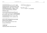**LATIN ACCENTED CHARACTERS** 

*AÁAAÄAAAAAAÆÆ ÇĆĈČČ ĐĎĐ* ÈÉÊËĒĔĚĘĔĔĘ ĜĜĞĞĠĠĢĢĞĞ ĤĦ İÍÎÎÎĬIȚȚI UŰ Ĵ KĶ ĹĻĽĿŁ ÑŃŅŇŊ  $\dot{\theta}$ ÓÓÕÖØÓŐŐŐQŒ Þ ŔŖŘ ŚŜŞŞŠ TTŤŦ ŮÚÛŨŨŨŨŮŰŲŲ ŴŴŴŴ ÝŶŸŸŶŶ ŹŻŽ

**OTHER SYMBOLS** 

 $\ell$ *EFE* E\$¥*A*  $\epsilon$ *TPBf* ¤ *Pts* ←↑↓→⇔⇕<sup>⋉↗</sup>NR▲▼▶◀⊿⊾<sup>◤◥</sup>

■□◆◇●○◆◇●○米

**BBPPCC MN9Qao% AT Sfft**  $\frac{1}{2}$ 

ccccc dd'd eeeëeeeeeee gggggggggg hh iffiffiji ijíj ji ķķkk Ul lit naņāng ooooooooooooo b rrr sssss tttt 

CYRILLIC EXTENDED CHARACTERS

*TJĹĖESIÏĬJЉЊЋЌŔŸЏſѢѲѴҖҖ ККНҮҰХЧЫӘЙЙӨ* Ү **ђе́єѐѕ1іїїјљњћќкўџґғњѳѵҗҗ**  $K K H Y Y X Y h l \partial \bar{u} \dot{u} \partial \bar{y}$ 

**BULGARIAN CHARACTERS** 

АИЙИЛФ  $e \theta q$  okok $q$ uŭkk $\lambda$ nmuuuuu $\boldsymbol{u}$ b ko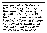*Thought Police Dystopian Yellow "Deep-51-Memory" Watergate¦Betrayal Xanith Rebellion {Truth} God.97 Modern from Risk & Bubbles Red-Eyed ∙ Farewell\_Quijote Novel Soma ½ Application Oceania 6 Charrington but* **DeLorean DMC-12 Zebra**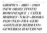## *GROPIUS • 1883—1969 {NEW OBJECTIVITY} ROMANESQUE ‡ CIŽEK MOHOLY×NAGY~BOOKS 1920 (NLD+FRA+GER) »GOTTLIEB HERMANN« GEWERKSCHAFT.BUND*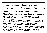дипломация Уотергейт Желтая 51 Память Океания  $\blacktriangleright$ Полиция Дистопиана $\blacktriangleleft$ Предательство Восстание  $E$ ог@Истины.97 (Роман) Сома Применение но глаза «двухместная карета» разположен ≈ 10 заповедей 3⁄4 часть \*Прощай Зебра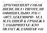## ДРАГОЦЕНЕН? СОБАК ШЕВЕЛИЛ † ТЯГОТЕЛИ ОФИЦИАЛЬНО ЗУБС »1875 AEKEMBPII« AEA МЛАДШЕЙ Е ГРАБЕЖА **7 ЛАБИРИНТАХ • КТО** *{ФЛАГ} ЖДАВШАЯ 241*

**LA BOLDE VITA**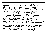### *Zângão vår Lartë Shtypjes Réttlætis #l'homme Dignité Ældrebesøg »Virðingar« régime@app.nz Žmogaus że Człowieka [Gyffredin] "Kadınların " Fakt Ävensom\* Içinde Straßenfest Þjóðdir*   $Rett$ ferdighet (Arrêté) ...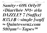## Sanity  $\neq 69\%$  Orly?? »Diarrhée Nº1« æla DAZZLE? 7 (Suffix)  $835.1$   $R \diamond$  single [sin] ∞ Quintessenz.com  $910$ um<sup>2</sup> $\leftrightarrow$ Tapes<sup>m</sup>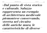### *•Dal punto di vista storico e culturale, Saluzzo rappresenta un esempio di architettura medievale piemontese conservando, stretta nel circuito delle antiche mura, le caratteristiche di diverse*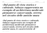### *•Dal punto di vista storico e culturale, Saluzzo rappresenta un esempio di architettura medievale piemontese conservando, stretta*  nel circuito delle antiche mura

*•Dal punto di vista storico e culturale, Saluzzo rappresenta un esempio di architettura medievale piemontese conservando, stretta nel circuito delle antiche mura, le caratteristiche di* 32/38 pt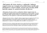#### *•Dal punto di vista storico e culturale, Saluzzo rappresenta un esempio di architettura medievale piemontese conservando, stretta nel circuito delle antiche mura, le caratteristiche di diverse* 24/28 pt

*•Dal punto di vista storico e culturale, Saluzzo rappresenta un esempio di architettura medievale piemontese conservando, stretta nel circuito delle antiche mura, le caratteristiche di diverse epoche. Capitale per ben quattro secoli di un marchesato indipendente* 

*•Dal punto di vista storico e culturale, Saluzzo rappresenta un esempio di architettura medievale piemontese conservando, stretta nel circuito delle antiche mura, le caratteristiche di diverse epoche. Capitale per ben quattro secoli di un marchesato indipendente, le numerose testimonianze del suo nobile e ricco passato ne* 14/17 pt

*•Dal punto di vista storico e culturale, Saluzzo rappresenta un esempio di architettura medievale piemontese conservando, stretta nel circuito delle antiche mura, le caratteristiche di diverse epoche. Capitale per ben quattro secoli di un marchesato indipendente, le numerose testimonianze del suo nobile e ricco passato ne confermano il ruolo di città d'arte. Tutt'oggi la cittadina svolge una funzione di riferimento di servizi ai* 11/14 pt

*•Dal punto di vista storico e culturale, Saluzzo rappresenta un esempio di architettura medievale piemontese conservando, stretta nel circuito delle antiche mura, le caratteristiche di diverse epoche. Capitale per ben quattro secoli di un marchesato indipendente, le numerose testimonianze del suo nobile e ricco passato ne confermano il ruolo di città d'arte. Tutt'oggi la cittadina svolge una funzione di riferimento di servizi ai comuni circostanti, fiere e manifestazioni a carattere artistico, culturale, ortofrutticolo ed enogastromico.* 9/12 pt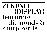# ZUKUNFT {DISPLAY} featuring◇ diamonds & Sharp serifs 100/100pt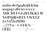## aabcdefgghijkklm nopqrsßtuvwxyz **ABCDEFGGHIJKKLM** NOPORSISTUVWXYZ 1234567890  $\ldots$  . The  $\oplus$   $\pm$   $\oplus$   $\pm$   $\oplus$   $\oplus$   $^{\wedge *}$  $\int_{0}^{1}$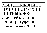## **АБВГДЕЖЖЗИЙКК** ЛМНОПРСТУФХЦЧ ШШЪЫЬЭЮЯ абвгдеёжжзийкк лмнопрстуфхцч ШШЪЫЬЭЮЯ ЗЭТР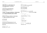**TABULAR FIGURES MATHEMATICAL SYMBOLS** +−±×÷=≠≈<>≤≥∾¬∥⊹

 $\Delta$ Qu $\pi$  $\Delta$ HEd $\sqrt{\cdot} \approx$ %%

 $\mathbf{C}$ :: $\cdot \cdot \cdot$ \* «» $\circ \cdot \cdot \cdot$  =  $-i\lambda$   $\mathbf{A}$   $\cap$   $\mathbf{A}$   $\cap$   $\mathbf{C}$   $\mathbf{C}$ 

 $\mathbb{R} \mathbb{R} \mathbb{P} \mathbb{C} \mathbb{C}$ 

0123456789 0123456789 

0123456789 0123456789 0123456789 0123456789 01234567890 01234567890

**FIGURES** 

**PUNCTUATION** 

 $\left( \frac{4432}{100}\right)$  ( ) ( )<sup>111</sup> - - -

 $\wedge$  ( ) [ ] { } @ @  $\overline{a}$   $\overline{t}$   $\overline{t}$   $\overline{t}$ 

**CASE-SENSITIVE FORMS** 

**АБВГДЕЖЖЗИЙККЛМНОПР СТУФХЦЧШЩЪЫЬЭЮЯ** 

абвгдеёжжзийкклмнопр

стуфхцчшщъыьэюя

ch ch ck ck cl fb fh fk fk ft fv fw fy

rb rh rk rk rl sb sh sk sk sl tt tv tw ty

CYRILLIC UPPERCASE

**CYRILLIC LOWERCASE** 

STANDARD LIGATURES

**DISCRETIONARY LIGATURES** 

CONTEXTUAL ALTERNATES

 $\overline{B}$  WWW www  $\overline{P}$  *a*  $\overline{a}$   $\overline{a}$ 

ff fi fl ffi ffl

 $\prod \prod \mathcal{H}$ 

#### aabcdefgghijkklm nopqrsßtuvwxyz

**LATIN LOWERCASE** 

#### ABCDEFGGHIJKKLM **NOPORSBTUVWXYZ**

### **LATIN UPPERCASE**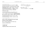#### **LATIN ACCENTED CHARACTERS**

AAAAAAAAAAAÆÆ ÇĆĈČČ ĐĎĐ ÈÉÊËĒĔĖĘĚĔĘ ĜĜĞĞĠĠĢĢĞĞ ĤĦ IIIIIIIIIII UU J KK LLEEE ÑŃNŇN OOOOOOOOOOOE P RRR SSSSS TTŤŦ ÙÚŨŨŨŨŨŰŰŲŲ ŴŴŴŴ ÝŶŸŸŶŸ ŹŻŽ

OTHER SYMBOLS

**¢£F£€\$¥**???PBf¤Pts ←↑↓→⇔⇕<sup>⋉↗</sup>NR▲▼▶◀⊿⊾<sup>◤◥</sup>

■□◆◇●○◆◇●○米

 $\circledast \circledast \circledast \circledast \mathbf{M} \otimes \mathcal{O} \circledast \rightarrow \leftarrow \mathbf{H} \circledast \mathbf{f}$ 

 $\ddot{\mathbf{a}}$  and  $\ddot{\mathbf{a}}$  and  $\ddot{\mathbf{a}}$  and  $\ddot{\mathbf{a}}$  and  $\ddot{\mathbf{a}}$  and  $\ddot{\mathbf{a}}$  and  $\ddot{\mathbf{a}}$ cccc dd'd eeeeeeeee gaggaggag fih ì firirii i jij î kkkk lillet nunning dóôõöøøöööoœ b frř śŝssš ttťt uúūüūūŭűűųų www̃w ýŷÿÿỹỳ źżž

CYRILLIC EXTENDED CHARACTERS

**TJĹĖESIÏJIPIPIRKĶAIILPOVKK ККНҮҰХЧЫ ӘЙЙӨЎ Птеезнії і ды па кітальна провити. ККНҮҮХЧН** Эййөў

**BULGARIAN CHARACTERS** 

АИЙЙАФ 26 g x x 3 u ŭ k k a n m u u u u u o b lo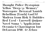### Thought Police Dystopian Yellow "Deep-51-Memory" Watergate¦Betrayal Xanith Rebellion {Truth} God.97 Modern from Risk & Bubbles Red-Eyed ∙ Farewell\_Quijote Novel Soma ½ Application Oceania 6 Charrington but DeLorean DMC-12 Zebra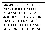## GROPIUS • 1883—1969 {NEW OBJECTIVITY} ROMANESQUE ‡ CIŽEK MOHOLY×NAGY~BOOKS 1920 (NLD+FRA+GER) »GOTTLIEB HERMANN« GEWERKSCHAFT.BUND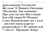qun o Mauua Yorepreйт Желтая 51 Память Океания •Полиция Дистопиана• Предательство Восстание Бог@Истины.97 (Роман) Сома Применение но глаза «Двухместная карета» разположен ≈ 10 заповедей  $\frac{3}{4}$  часть \* Прощай Зебра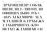## ДРАГОЦЕНЕН? СОБАК ШЕВЕЛИД † ТЯГОТЕЛИ ОФИЦИАЛЬНО ЗУБС »1875 AEKEMBPII« AEA МЛАЛШЕЙ Е ГРАБЕЖА **ТЛАБИРИНТАХ • КТО {OJIAT} KIABIIIAH 241**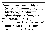### Zângão vår Lartë Shtypjes Réttlætis #l'homme Dignité Ældrebesøg »Virðingar« régime@app.nz Žmogaus że Człowieka [Gyffredin] "Kadınların " Fakt Ävensom\* Içinde Straßenfest Þjóðdir Rettferdighet (Arrêté) … 50/62 pt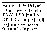## Sanity  $\neq 69\%$  Orly?? »Diarrhée Nº1« éla DAZZLE? 7 {Suffix} 835,1<sup>B</sup> > single [sml] ∞ Quintessenz.com 910 um<sup>2</sup> → Tapes<sup>m</sup>

43/47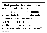### •Dal punto di vista storico e culturale, Saluzzo rappresenta un esempio di architettura medievale piemontese conservando, stretta nel circuito delle antiche mura, le caratteristiche di diverse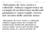### •Dal punto di vista storico e culturale, Saluzzo rappresenta un esempio di architettura medievale piemontese conservando, stretta nel circuito delle antiche mura

•Dal punto di vista storico e culturale, Saluzzo rappresenta un esempio di architettura medievale piemontese conservando, stretta nel circuito delle antiche mura, le caratteristiche di 32/38 pt

TEXT SAMPLE it.wikipedia.org/wiki/Saluzzo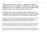#### •Dal punto di vista storico e culturale, Saluzzo rappresenta un esempio di architettura medievale piemontese conservando, stretta nel circuito delle antiche mura, le caratteristiche di diverse <sup>24/28 pt</sup>

•Dal punto di vista storico e culturale, Saluzzo rappresenta un esempio di architettura medievale piemontese conservando, stretta nel circuito delle antiche mura, le caratteristiche di diverse epoche. Capitale per ben quattro secoli di un marchesato indipendente 18/21 pt

•Dal punto di vista storico e culturale, Saluzzo rappresenta un esempio di architettura medievale piemontese conservando, stretta nel circuito delle antiche mura, le caratteristiche di diverse epoche. Capitale per ben quattro secoli di un marchesato indipendente, le numerose testimonianze del suo nobile e ricco passato ne <sup>14/17 pt</sup>

•Dal punto di vista storico e culturale, Saluzzo rappresenta un esempio di architettura medievale piemontese conservando, stretta nel circuito delle antiche mura, le caratteristiche di diverse epoche. Capitale per ben quattro secoli di un marchesato indipendente, le numerose testimonianze del suo nobile e ricco passato ne confermano il ruolo di città d'arte. Tutt'oggi la cittadina svolge una funzione di riferimento di servizi ai 11/14 pt

•Dal punto di vista storico e culturale, Saluzzo rappresenta un esempio di architettura medievale piemontese conservando, stretta nel circuito delle antiche mura, le caratteristiche di diverse epoche. Capitale per ben quattro secoli di un marchesato indipendente, le numerose testimonianze del suo nobile e ricco passato ne confermano il ruolo di città d'arte. Tutt'oggi la cittadina svolge una funzione di riferimento di servizi ai comuni circostanti, fiere e manifestazioni a carattere artistico, culturale, ortofrutticolo ed enogastromico. 9/12 pt